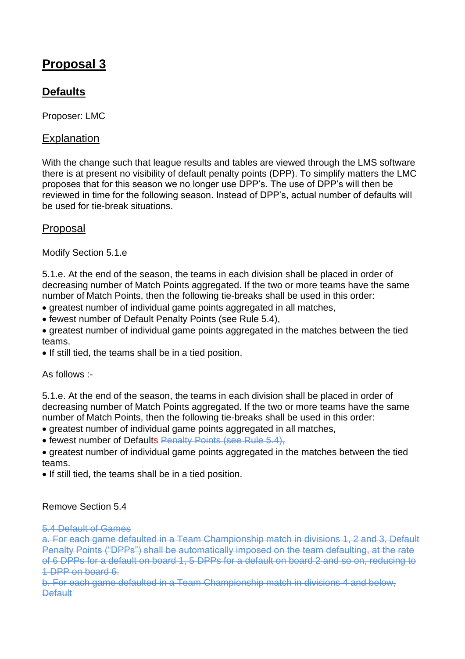# **Proposal 3**

## **Defaults**

Proposer: LMC

## **Explanation**

With the change such that league results and tables are viewed through the LMS software there is at present no visibility of default penalty points (DPP). To simplify matters the LMC proposes that for this season we no longer use DPP's. The use of DPP's will then be reviewed in time for the following season. Instead of DPP's, actual number of defaults will be used for tie-break situations.

## Proposal

Modify Section 5.1.e

5.1.e. At the end of the season, the teams in each division shall be placed in order of decreasing number of Match Points aggregated. If the two or more teams have the same number of Match Points, then the following tie-breaks shall be used in this order:

- greatest number of individual game points aggregated in all matches,
- fewest number of Default Penalty Points (see Rule 5.4),
- greatest number of individual game points aggregated in the matches between the tied teams.
- If still tied, the teams shall be in a tied position.

As follows :-

5.1.e. At the end of the season, the teams in each division shall be placed in order of decreasing number of Match Points aggregated. If the two or more teams have the same number of Match Points, then the following tie-breaks shall be used in this order:

- greatest number of individual game points aggregated in all matches,
- fewest number of Defaults Penalty Points (see Rule 5.4),
- greatest number of individual game points aggregated in the matches between the tied teams.
- If still tied, the teams shall be in a tied position.

#### Remove Section 5.4

#### 5.4 Default of Games

a. For each game defaulted in a Team Championship match in divisions 1, 2 and 3, Default Penalty Points ("DPPs") shall be automatically imposed on the team defaulting, at the rate of 6 DPPs for a default on board 1, 5 DPPs for a default on board 2 and so on, reducing to 1 DPP on board 6.

b. For each game defaulted in a Team Championship match in divisions 4 and below, **Default**